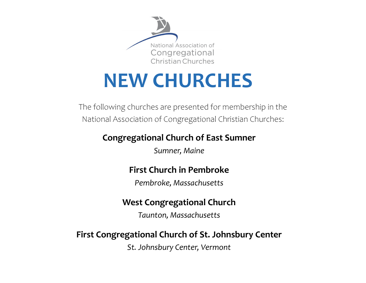

# **NEW CHURCHES**

The following churches are presented for membership in the National Association of Congregational Christian Churches:

# **Congregational Church of East Sumner**

*Sumner, Maine* 

# **First Church in Pembroke**

*Pembroke, Massachusetts* 

### **West Congregational Church**

*Taunton, Massachusetts*

## **First Congregational Church of St. Johnsbury Center**

*St. Johnsbury Center, Vermont*